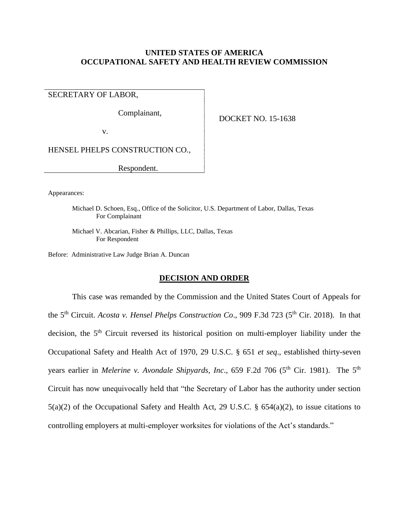## **UNITED STATES OF AMERICA OCCUPATIONAL SAFETY AND HEALTH REVIEW COMMISSION**

SECRETARY OF LABOR,

Complainant,

DOCKET NO. 15-1638

v.

HENSEL PHELPS CONSTRUCTION CO.,

Respondent.

Appearances:

Michael D. Schoen, Esq., Office of the Solicitor, U.S. Department of Labor, Dallas, Texas For Complainant

Michael V. Abcarian, Fisher & Phillips, LLC, Dallas, Texas For Respondent

Before: Administrative Law Judge Brian A. Duncan

## **DECISION AND ORDER**

This case was remanded by the Commission and the United States Court of Appeals for the 5<sup>th</sup> Circuit. *Acosta v. Hensel Phelps Construction Co.*, 909 F.3d 723 (5<sup>th</sup> Cir. 2018). In that decision, the 5<sup>th</sup> Circuit reversed its historical position on multi-employer liability under the Occupational Safety and Health Act of 1970, 29 U.S.C. § 651 *et seq*., established thirty-seven years earlier in *Melerine v. Avondale Shipyards, Inc.*, 659 F.2d 706 (5<sup>th</sup> Cir. 1981). The 5<sup>th</sup> Circuit has now unequivocally held that "the Secretary of Labor has the authority under section 5(a)(2) of the Occupational Safety and Health Act, 29 U.S.C. § 654(a)(2), to issue citations to controlling employers at multi-employer worksites for violations of the Act's standards."